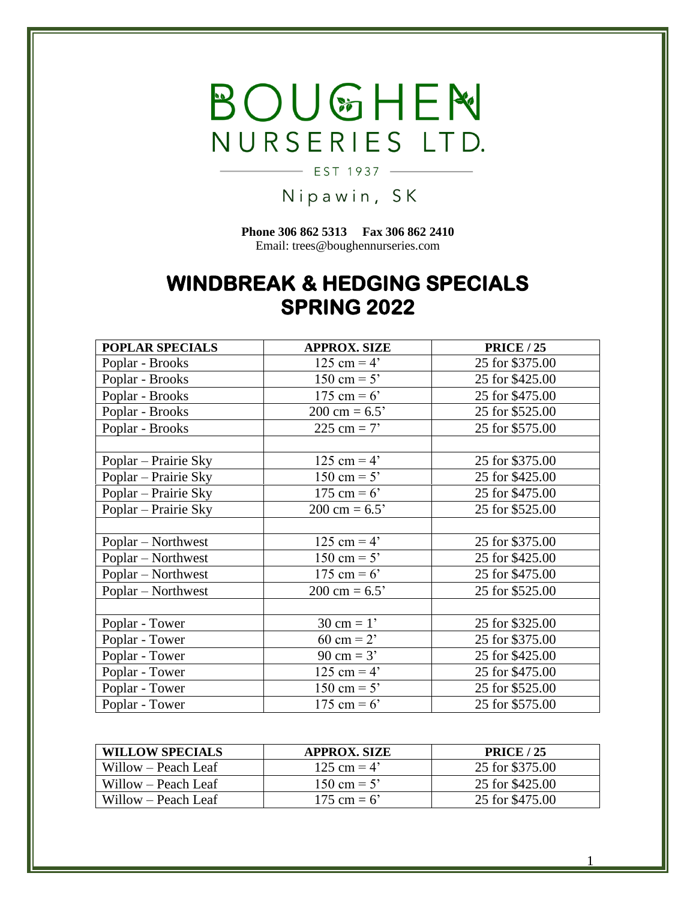## BOUGHEN NURSERIES LTD.

## Nipawin, SK

 $-$  EST 1937  $-$ 

**Phone 306 862 5313 Fax 306 862 2410** Email: trees@boughennurseries.com

## **WINDBREAK & HEDGING SPECIALS SPRING 2022**

| <b>POPLAR SPECIALS</b> | <b>APPROX. SIZE</b>     | <b>PRICE / 25</b> |
|------------------------|-------------------------|-------------------|
| Poplar - Brooks        | 125 cm = $4'$           | 25 for \$375.00   |
| Poplar - Brooks        | 150 cm = $5'$           | 25 for \$425.00   |
| Poplar - Brooks        | 175 cm = $6'$           | 25 for \$475.00   |
| Poplar - Brooks        | $200 \text{ cm} = 6.5'$ | 25 for \$525.00   |
| Poplar - Brooks        | 225 cm = $7'$           | 25 for \$575.00   |
|                        |                         |                   |
| Poplar – Prairie Sky   | 125 cm = $4'$           | 25 for \$375.00   |
| Poplar – Prairie Sky   | 150 cm = $5'$           | 25 for \$425.00   |
| Poplar – Prairie Sky   | 175 cm = $6'$           | 25 for \$475.00   |
| Poplar – Prairie Sky   | $200 \text{ cm} = 6.5'$ | 25 for \$525.00   |
|                        |                         |                   |
| Poplar – Northwest     | 125 cm = $4'$           | 25 for \$375.00   |
| Poplar – Northwest     | 150 cm = $5'$           | 25 for \$425.00   |
| Poplar – Northwest     | 175 cm = $6'$           | 25 for \$475.00   |
| Poplar – Northwest     | $200 \text{ cm} = 6.5'$ | 25 for \$525.00   |
|                        |                         |                   |
| Poplar - Tower         | $30 \text{ cm} = 1'$    | 25 for \$325.00   |
| Poplar - Tower         | 60 cm = $2'$            | 25 for \$375.00   |
| Poplar - Tower         | 90 cm = $3'$            | 25 for \$425.00   |
| Poplar - Tower         | 125 cm = $4'$           | 25 for \$475.00   |
| Poplar - Tower         | 150 cm = $5'$           | 25 for \$525.00   |
| Poplar - Tower         | 175 cm = $6'$           | 25 for \$575.00   |

| <b>WILLOW SPECIALS</b> | <b>APPROX. SIZE</b> | <b>PRICE</b> / 25 |
|------------------------|---------------------|-------------------|
| Willow – Peach Leaf    | 125 cm = $4'$       | 25 for \$375.00   |
| Willow – Peach Leaf    | 150 cm = $5'$       | 25 for \$425.00   |
| Willow – Peach Leaf    | 175 cm = $6'$       | 25 for \$475.00   |